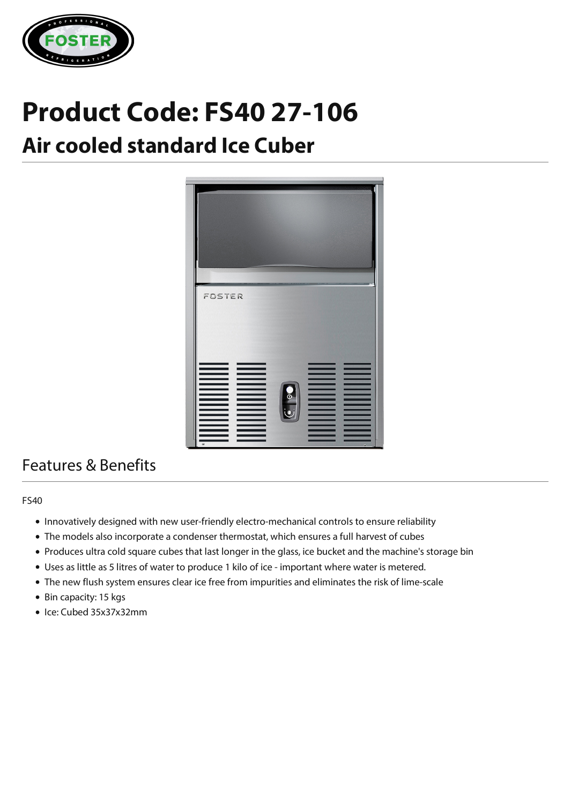

# **Product Code: FS40 27-106**

## **Air cooled standard Ice Cuber**



### Features & Benefits

#### FS40

- Innovatively designed with new user-friendly electro-mechanical controls to ensure reliability
- The models also incorporate a condenser thermostat, which ensures a full harvest of cubes
- Produces ultra cold square cubes that last longer in the glass, ice bucket and the machine's storage bin
- Uses as little as 5 litres of water to produce 1 kilo of ice important where water is metered.
- The new flush system ensures clear ice free from impurities and eliminates the risk of lime-scale
- Bin capacity: 15 kgs
- Ice: Cubed 35x37x32mm